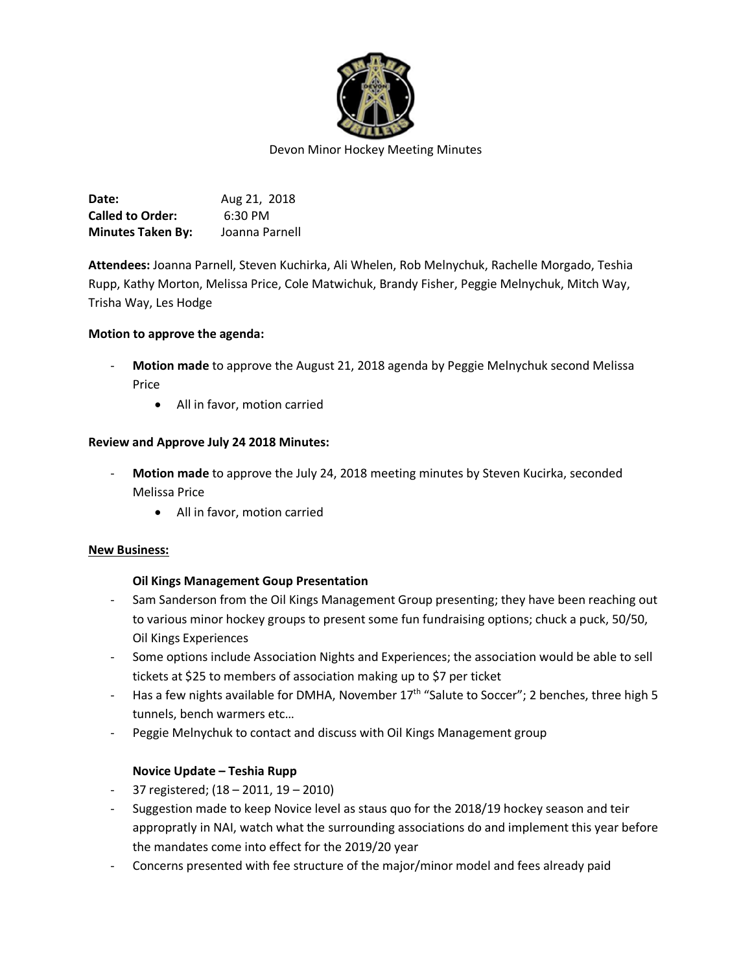

**Date:** Aug 21, 2018 **Called to Order:** 6:30 PM **Minutes Taken By:** Joanna Parnell

**Attendees:** Joanna Parnell, Steven Kuchirka, Ali Whelen, Rob Melnychuk, Rachelle Morgado, Teshia Rupp, Kathy Morton, Melissa Price, Cole Matwichuk, Brandy Fisher, Peggie Melnychuk, Mitch Way, Trisha Way, Les Hodge

### **Motion to approve the agenda:**

- **Motion made** to approve the August 21, 2018 agenda by Peggie Melnychuk second Melissa Price
	- All in favor, motion carried

### **Review and Approve July 24 2018 Minutes:**

- **Motion made** to approve the July 24, 2018 meeting minutes by Steven Kucirka, seconded Melissa Price
	- All in favor, motion carried

### **New Business:**

### **Oil Kings Management Goup Presentation**

- Sam Sanderson from the Oil Kings Management Group presenting; they have been reaching out to various minor hockey groups to present some fun fundraising options; chuck a puck, 50/50, Oil Kings Experiences
- Some options include Association Nights and Experiences; the association would be able to sell tickets at \$25 to members of association making up to \$7 per ticket
- Has a few nights available for DMHA, November  $17<sup>th</sup>$  "Salute to Soccer"; 2 benches, three high 5 tunnels, bench warmers etc…
- Peggie Melnychuk to contact and discuss with Oil Kings Management group

### **Novice Update – Teshia Rupp**

- 37 registered; (18 2011, 19 2010)
- Suggestion made to keep Novice level as staus quo for the 2018/19 hockey season and teir appropratly in NAI, watch what the surrounding associations do and implement this year before the mandates come into effect for the 2019/20 year
- Concerns presented with fee structure of the major/minor model and fees already paid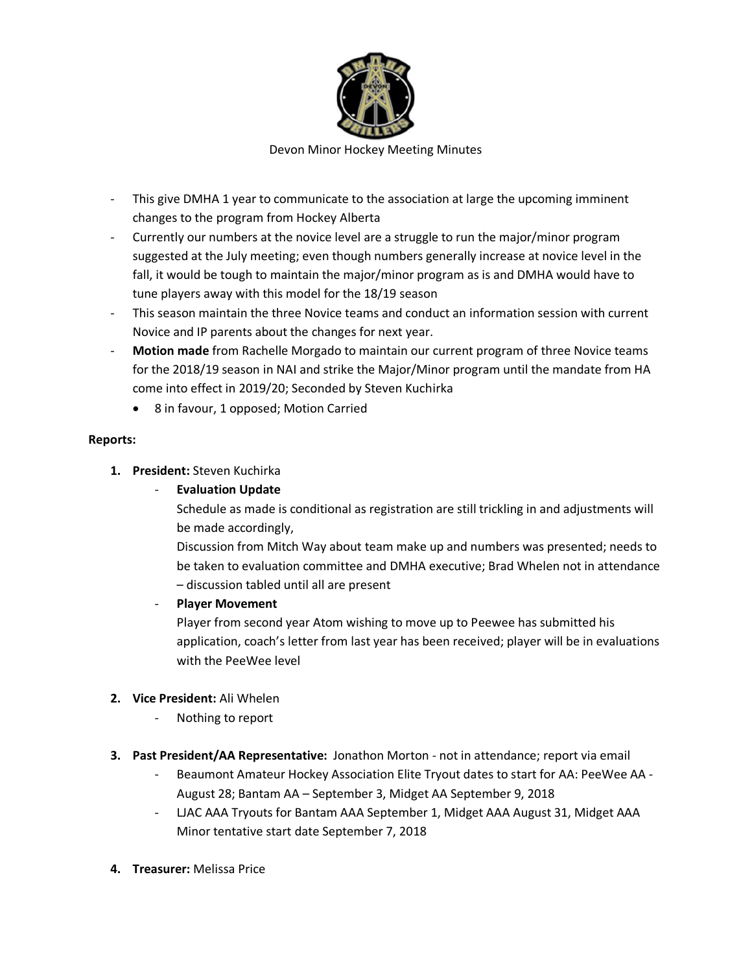

Devon Minor Hockey Meeting Minutes

- This give DMHA 1 year to communicate to the association at large the upcoming imminent changes to the program from Hockey Alberta
- Currently our numbers at the novice level are a struggle to run the major/minor program suggested at the July meeting; even though numbers generally increase at novice level in the fall, it would be tough to maintain the major/minor program as is and DMHA would have to tune players away with this model for the 18/19 season
- This season maintain the three Novice teams and conduct an information session with current Novice and IP parents about the changes for next year.
- **Motion made** from Rachelle Morgado to maintain our current program of three Novice teams for the 2018/19 season in NAI and strike the Major/Minor program until the mandate from HA come into effect in 2019/20; Seconded by Steven Kuchirka
	- 8 in favour, 1 opposed; Motion Carried

# **Reports:**

- **1. President:** Steven Kuchirka
	- **Evaluation Update**
		- Schedule as made is conditional as registration are still trickling in and adjustments will be made accordingly,
		- Discussion from Mitch Way about team make up and numbers was presented; needs to be taken to evaluation committee and DMHA executive; Brad Whelen not in attendance – discussion tabled until all are present
	- **Player Movement**
		- Player from second year Atom wishing to move up to Peewee has submitted his application, coach's letter from last year has been received; player will be in evaluations with the PeeWee level

# **2. Vice President:** Ali Whelen

- Nothing to report
- **3. Past President/AA Representative:** Jonathon Morton not in attendance; report via email
	- Beaumont Amateur Hockey Association Elite Tryout dates to start for AA: PeeWee AA August 28; Bantam AA – September 3, Midget AA September 9, 2018
	- LJAC AAA Tryouts for Bantam AAA September 1, Midget AAA August 31, Midget AAA Minor tentative start date September 7, 2018
- **4. Treasurer:** Melissa Price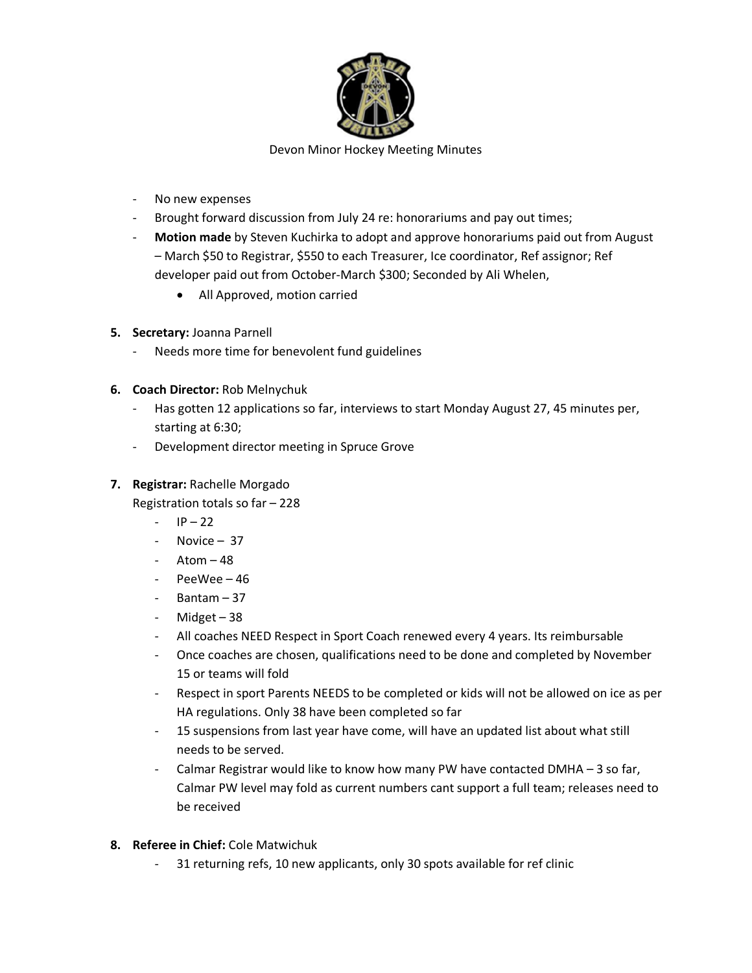

- No new expenses
- Brought forward discussion from July 24 re: honorariums and pay out times;
- **Motion made** by Steven Kuchirka to adopt and approve honorariums paid out from August – March \$50 to Registrar, \$550 to each Treasurer, Ice coordinator, Ref assignor; Ref developer paid out from October-March \$300; Seconded by Ali Whelen,
	- All Approved, motion carried
- **5. Secretary:** Joanna Parnell
	- Needs more time for benevolent fund guidelines
- **6. Coach Director:** Rob Melnychuk
	- Has gotten 12 applications so far, interviews to start Monday August 27, 45 minutes per, starting at 6:30;
	- Development director meeting in Spruce Grove

## **7. Registrar:** Rachelle Morgado

- Registration totals so far 228
	- $-$  IP 22
	- Novice 37
	- Atom  $-48$
	- PeeWee 46
	- Bantam 37
	- Midget 38
	- All coaches NEED Respect in Sport Coach renewed every 4 years. Its reimbursable
	- Once coaches are chosen, qualifications need to be done and completed by November 15 or teams will fold
	- Respect in sport Parents NEEDS to be completed or kids will not be allowed on ice as per HA regulations. Only 38 have been completed so far
	- 15 suspensions from last year have come, will have an updated list about what still needs to be served.
	- Calmar Registrar would like to know how many PW have contacted DMHA 3 so far, Calmar PW level may fold as current numbers cant support a full team; releases need to be received
- **8. Referee in Chief:** Cole Matwichuk
	- 31 returning refs, 10 new applicants, only 30 spots available for ref clinic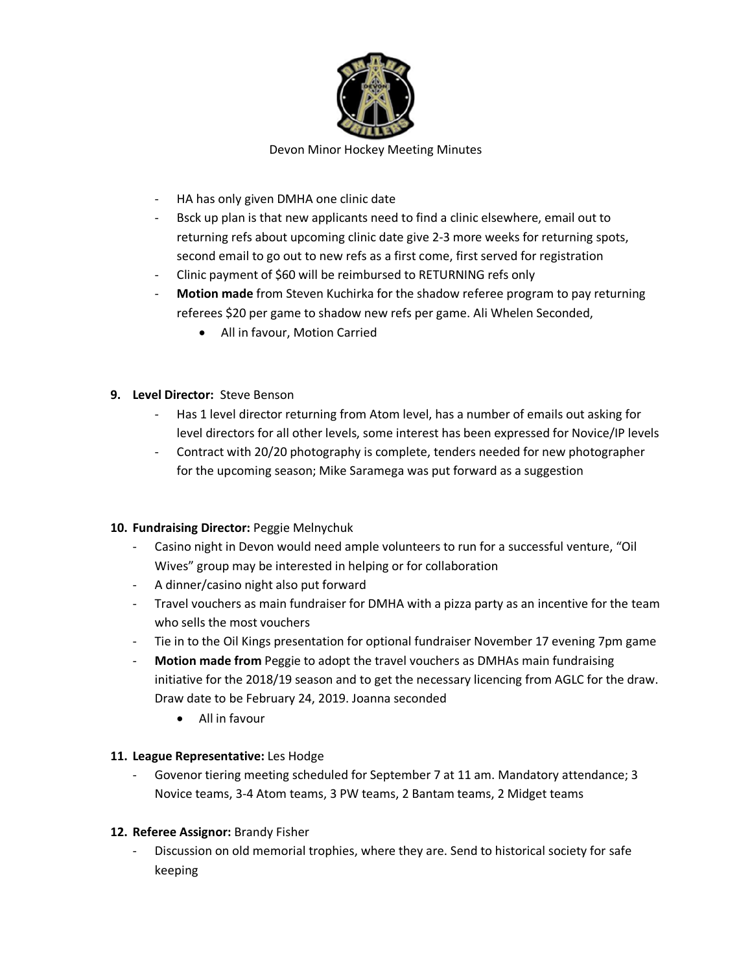

- HA has only given DMHA one clinic date
- Bsck up plan is that new applicants need to find a clinic elsewhere, email out to returning refs about upcoming clinic date give 2-3 more weeks for returning spots, second email to go out to new refs as a first come, first served for registration
- Clinic payment of \$60 will be reimbursed to RETURNING refs only
- **Motion made** from Steven Kuchirka for the shadow referee program to pay returning referees \$20 per game to shadow new refs per game. Ali Whelen Seconded,
	- All in favour, Motion Carried
- **9. Level Director:** Steve Benson
	- Has 1 level director returning from Atom level, has a number of emails out asking for level directors for all other levels, some interest has been expressed for Novice/IP levels
	- Contract with 20/20 photography is complete, tenders needed for new photographer for the upcoming season; Mike Saramega was put forward as a suggestion

### **10. Fundraising Director:** Peggie Melnychuk

- Casino night in Devon would need ample volunteers to run for a successful venture, "Oil Wives" group may be interested in helping or for collaboration
- A dinner/casino night also put forward
- Travel vouchers as main fundraiser for DMHA with a pizza party as an incentive for the team who sells the most vouchers
- Tie in to the Oil Kings presentation for optional fundraiser November 17 evening 7pm game
- **Motion made from** Peggie to adopt the travel vouchers as DMHAs main fundraising initiative for the 2018/19 season and to get the necessary licencing from AGLC for the draw. Draw date to be February 24, 2019. Joanna seconded
	- All in favour

# **11. League Representative:** Les Hodge

- Govenor tiering meeting scheduled for September 7 at 11 am. Mandatory attendance; 3 Novice teams, 3-4 Atom teams, 3 PW teams, 2 Bantam teams, 2 Midget teams

# **12. Referee Assignor:** Brandy Fisher

- Discussion on old memorial trophies, where they are. Send to historical society for safe keeping